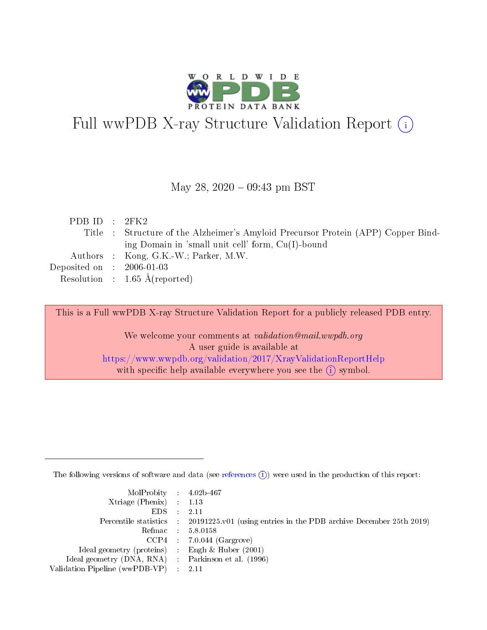

# Full wwPDB X-ray Structure Validation Report (i)

#### May 28, 2020 - 09:43 pm BST

| PDBID : 2FK2                |                                                                                   |
|-----------------------------|-----------------------------------------------------------------------------------|
|                             | Title : Structure of the Alzheimer's Amyloid Precursor Protein (APP) Copper Bind- |
|                             | ing Domain in 'small unit cell' form, $Cu(I)$ -bound                              |
|                             | Authors : Kong, G.K.-W.; Parker, M.W.                                             |
| Deposited on : $2006-01-03$ |                                                                                   |
|                             | Resolution : $1.65 \text{ Å}$ (reported)                                          |

This is a Full wwPDB X-ray Structure Validation Report for a publicly released PDB entry.

We welcome your comments at validation@mail.wwpdb.org A user guide is available at <https://www.wwpdb.org/validation/2017/XrayValidationReportHelp> with specific help available everywhere you see the  $(i)$  symbol.

The following versions of software and data (see [references](https://www.wwpdb.org/validation/2017/XrayValidationReportHelp#references)  $(i)$ ) were used in the production of this report:

| $MolProbability$ 4.02b-467                          |                                                                                            |
|-----------------------------------------------------|--------------------------------------------------------------------------------------------|
| Xtriage (Phenix) $: 1.13$                           |                                                                                            |
| $EDS$ :                                             | -2.11                                                                                      |
|                                                     | Percentile statistics : 20191225.v01 (using entries in the PDB archive December 25th 2019) |
|                                                     | Refmac : 5.8.0158                                                                          |
|                                                     | $CCP4$ : 7.0.044 (Gargrove)                                                                |
| Ideal geometry (proteins) : Engh $\&$ Huber (2001)  |                                                                                            |
| Ideal geometry (DNA, RNA) : Parkinson et al. (1996) |                                                                                            |
| Validation Pipeline (wwPDB-VP)                      | -2.11                                                                                      |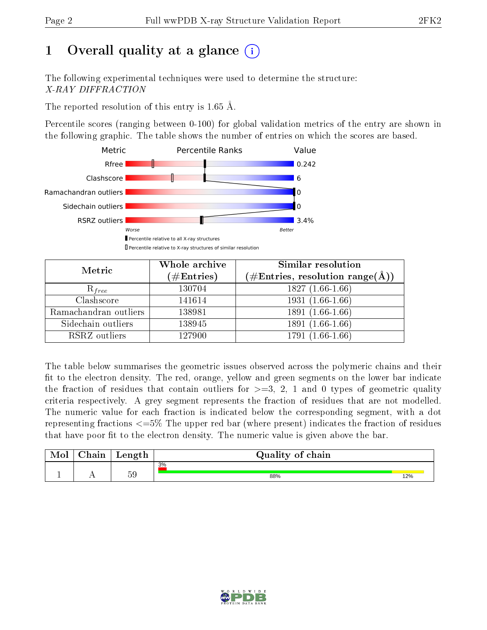# 1 [O](https://www.wwpdb.org/validation/2017/XrayValidationReportHelp#overall_quality)verall quality at a glance  $(i)$

The following experimental techniques were used to determine the structure: X-RAY DIFFRACTION

The reported resolution of this entry is 1.65 Å.

Percentile scores (ranging between 0-100) for global validation metrics of the entry are shown in the following graphic. The table shows the number of entries on which the scores are based.



| Metric                | Whole archive<br>$(\#\mathrm{Entries})$ | Similar resolution<br>$(\#\text{Entries},\, \text{resolution}\; \text{range}(\textup{\AA}))$ |
|-----------------------|-----------------------------------------|----------------------------------------------------------------------------------------------|
| $R_{free}$            | 130704                                  | $1827(1.66-1.66)$                                                                            |
| Clashscore            | 141614                                  | $1931(1.66-1.66)$                                                                            |
| Ramachandran outliers | 138981                                  | $1891(1.66-1.66)$                                                                            |
| Sidechain outliers    | 138945                                  | 1891 (1.66-1.66)                                                                             |
| RSRZ outliers         | 127900                                  | $1791(1.66-1.66)$                                                                            |

The table below summarises the geometric issues observed across the polymeric chains and their fit to the electron density. The red, orange, yellow and green segments on the lower bar indicate the fraction of residues that contain outliers for  $>=3, 2, 1$  and 0 types of geometric quality criteria respectively. A grey segment represents the fraction of residues that are not modelled. The numeric value for each fraction is indicated below the corresponding segment, with a dot representing fractions  $\epsilon=5\%$  The upper red bar (where present) indicates the fraction of residues that have poor fit to the electron density. The numeric value is given above the bar.

| Mol | $\cap$ hain | Length | Quality of chain |     |
|-----|-------------|--------|------------------|-----|
|     |             |        | 3%               |     |
|     |             | 59     | 88%              | 12% |

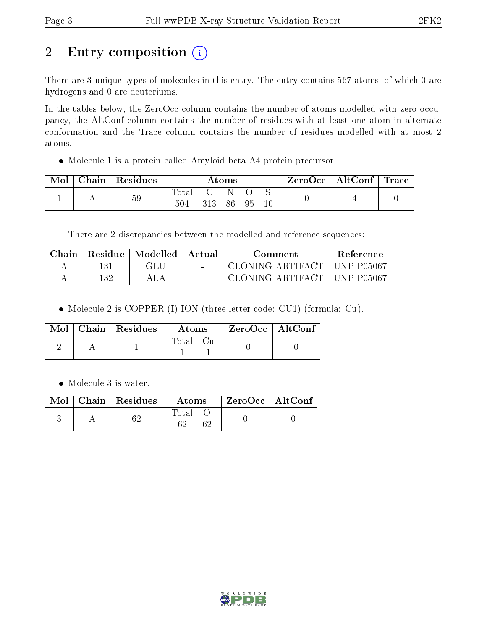# 2 Entry composition (i)

There are 3 unique types of molecules in this entry. The entry contains 567 atoms, of which 0 are hydrogens and 0 are deuteriums.

In the tables below, the ZeroOcc column contains the number of atoms modelled with zero occupancy, the AltConf column contains the number of residues with at least one atom in alternate conformation and the Trace column contains the number of residues modelled with at most 2 atoms.

Molecule 1 is a protein called Amyloid beta A4 protein precursor.

| Mol | Chain   Residues | Atoms       |              |      | ZeroOcc   AltConf   Trace |  |  |  |
|-----|------------------|-------------|--------------|------|---------------------------|--|--|--|
|     | 59               | $\rm Total$ | $\mathbf{C}$ | - N- |                           |  |  |  |
|     |                  | 504         | 313          |      | 86 95                     |  |  |  |

There are 2 discrepancies between the modelled and reference sequences:

| Chain | Residue | Modelled | ' Actual                 | Comment                       | Reference |
|-------|---------|----------|--------------------------|-------------------------------|-----------|
|       | 131     | GLU      | <b>Contract Contract</b> | CLONING ARTIFACT   UNP P05067 |           |
|       | 132     |          | $\sim$                   | CLONING ARTIFACT   UNP P05067 |           |

• Molecule 2 is COPPER (I) ION (three-letter code: CU1) (formula: Cu).

|  | $\text{Mol}$   Chain   Residues | Atoms | $\rm ZeroOcc \mid AltConf$ |  |
|--|---------------------------------|-------|----------------------------|--|
|  |                                 | Total |                            |  |

Molecule 3 is water.

|  | $\text{Mol}$   Chain   Residues | Atoms | $^\top$ ZeroOcc   AltConf |  |
|--|---------------------------------|-------|---------------------------|--|
|  |                                 | Total |                           |  |

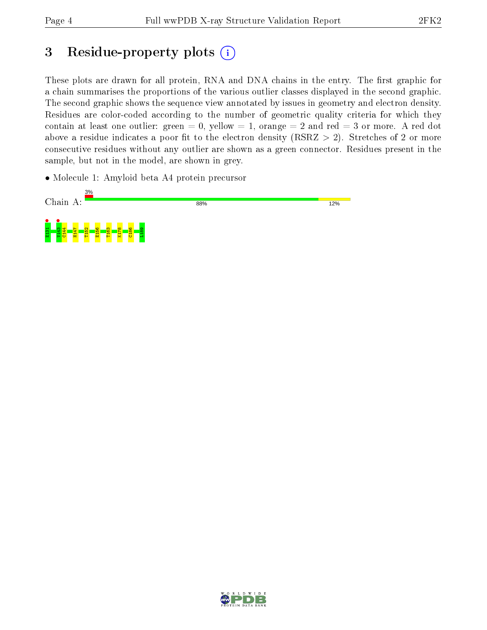## 3 Residue-property plots  $(i)$

These plots are drawn for all protein, RNA and DNA chains in the entry. The first graphic for a chain summarises the proportions of the various outlier classes displayed in the second graphic. The second graphic shows the sequence view annotated by issues in geometry and electron density. Residues are color-coded according to the number of geometric quality criteria for which they contain at least one outlier: green  $= 0$ , yellow  $= 1$ , orange  $= 2$  and red  $= 3$  or more. A red dot above a residue indicates a poor fit to the electron density (RSRZ  $> 2$ ). Stretches of 2 or more consecutive residues without any outlier are shown as a green connector. Residues present in the sample, but not in the model, are shown in grey.

• Molecule 1: Amyloid beta A4 protein precursor



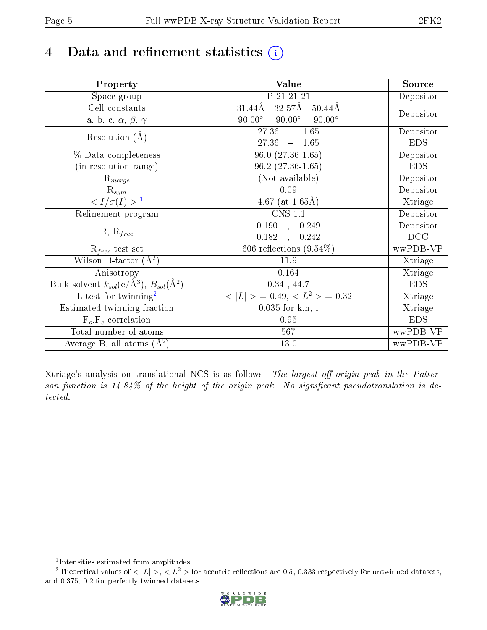## 4 Data and refinement statistics  $(i)$

| Property                                                             | <b>Value</b>                                     | Source     |
|----------------------------------------------------------------------|--------------------------------------------------|------------|
| Space group                                                          | P 21 21 21                                       | Depositor  |
| Cell constants                                                       | $32.57\text{\AA}$<br>$50.44\text{\AA}$<br>31.44Å |            |
| a, b, c, $\alpha$ , $\beta$ , $\gamma$                               | $90.00^\circ$<br>$90.00^\circ$<br>$90.00^\circ$  | Depositor  |
| Resolution $(A)$                                                     | 27.36<br>$-1.65$                                 | Depositor  |
|                                                                      | 27.36<br>$-1.65$                                 | <b>EDS</b> |
| % Data completeness                                                  | $96.0(27.36-1.65)$                               | Depositor  |
| (in resolution range)                                                | $96.2(27.36-1.65)$                               | <b>EDS</b> |
| $\mathrm{R}_{merge}$                                                 | (Not available)                                  | Depositor  |
| $\mathrm{R}_{sym}$                                                   | 0.09                                             | Depositor  |
| $\sqrt{I/\sigma(I)} > 1$                                             | 4.67 (at $1.65\text{\AA})$                       | Xtriage    |
| Refinement program                                                   | $\overline{\text{CNS} 1.1}$                      | Depositor  |
|                                                                      | $\overline{0.190}$ ,<br>0.249                    | Depositor  |
| $R, R_{free}$                                                        | 0.182<br>0.242<br>$\ddot{\phantom{a}}$           | DCC        |
| $R_{free}$ test set                                                  | 606 reflections $(9.54\%)$                       | wwPDB-VP   |
| Wilson B-factor $(A^2)$                                              | 11.9                                             | Xtriage    |
| Anisotropy                                                           | 0.164                                            | Xtriage    |
| Bulk solvent $k_{sol}(e/\mathring{A}^3)$ , $B_{sol}(\mathring{A}^2)$ | $0.34$ , 44.7                                    | <b>EDS</b> |
| L-test for twinning <sup>2</sup>                                     | $< L >$ = 0.49, $< L2$ = 0.32                    | Xtriage    |
| Estimated twinning fraction                                          | $0.035$ for k,h,-l                               | Xtriage    |
| $F_o, F_c$ correlation                                               | 0.95                                             | <b>EDS</b> |
| Total number of atoms                                                | 567                                              | wwPDB-VP   |
| Average B, all atoms $(A^2)$                                         | 13.0                                             | wwPDB-VP   |

Xtriage's analysis on translational NCS is as follows: The largest off-origin peak in the Patterson function is  $14.84\%$  of the height of the origin peak. No significant pseudotranslation is detected.

<sup>&</sup>lt;sup>2</sup>Theoretical values of  $\langle |L| \rangle$ ,  $\langle L^2 \rangle$  for acentric reflections are 0.5, 0.333 respectively for untwinned datasets, and 0.375, 0.2 for perfectly twinned datasets.



<span id="page-4-1"></span><span id="page-4-0"></span><sup>1</sup> Intensities estimated from amplitudes.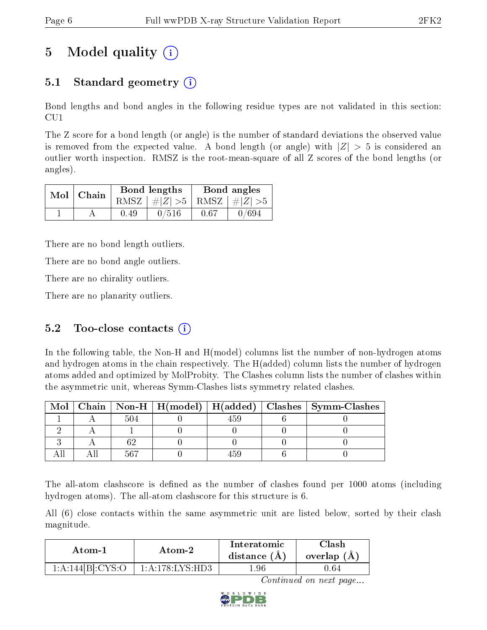## 5 Model quality  $(i)$

### 5.1 Standard geometry  $\overline{()}$

Bond lengths and bond angles in the following residue types are not validated in this section: CU1

The Z score for a bond length (or angle) is the number of standard deviations the observed value is removed from the expected value. A bond length (or angle) with  $|Z| > 5$  is considered an outlier worth inspection. RMSZ is the root-mean-square of all Z scores of the bond lengths (or angles).

|  | Mol   Chain |      | <b>Bond lengths</b>             | Bond angles |       |  |
|--|-------------|------|---------------------------------|-------------|-------|--|
|  |             |      | RMSZ $ #Z  > 5$ RMSZ $ #Z  > 5$ |             |       |  |
|  |             | 0.49 | 0/516                           | 0.67        | 0/694 |  |

There are no bond length outliers.

There are no bond angle outliers.

There are no chirality outliers.

There are no planarity outliers.

### 5.2 Too-close contacts  $(i)$

In the following table, the Non-H and H(model) columns list the number of non-hydrogen atoms and hydrogen atoms in the chain respectively. The H(added) column lists the number of hydrogen atoms added and optimized by MolProbity. The Clashes column lists the number of clashes within the asymmetric unit, whereas Symm-Clashes lists symmetry related clashes.

| Mol |      |  | Chain   Non-H   H(model)   H(added)   Clashes   Symm-Clashes |
|-----|------|--|--------------------------------------------------------------|
|     | -504 |  |                                                              |
|     |      |  |                                                              |
|     |      |  |                                                              |
|     | 567  |  |                                                              |

The all-atom clashscore is defined as the number of clashes found per 1000 atoms (including hydrogen atoms). The all-atom clashscore for this structure is 6.

All (6) close contacts within the same asymmetric unit are listed below, sorted by their clash magnitude.

| Atom-1            |                    | Interatomic    | Clash         |
|-------------------|--------------------|----------------|---------------|
| Atom-2            |                    | distance $(A)$ | overlap $(A)$ |
| 1:A:144[Bl:CYS:O] | $1:$ A:178:LYS:HD3 | $.96\,$        | 0.64          |

Continued on next page...

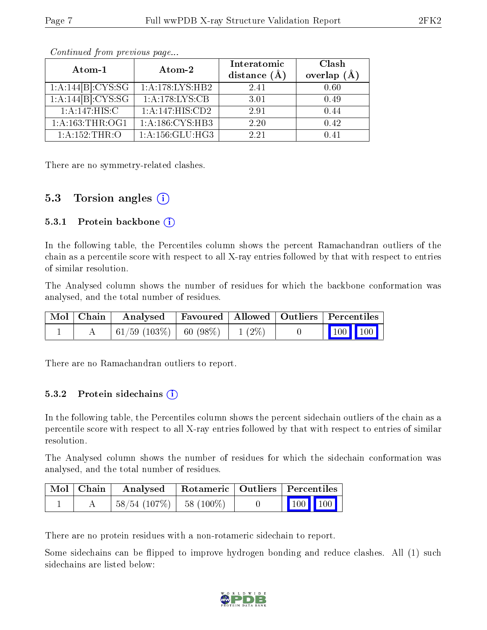| Atom-1                         | Atom-2                       | Interatomic<br>distance $(A)$ | Clash<br>overlap $(A)$ |  |
|--------------------------------|------------------------------|-------------------------------|------------------------|--|
| $1:A:144[B]:CYS:\overline{SG}$ | 1:A:178:LYS:HB2              | 2.41                          | 0.60                   |  |
| 1:A:144[B]:CYS:SG              | 1:A:178:LYS:CB               | 3.01                          | 0.49                   |  |
| 1: A:147: HIS: C               | 1:A:147:HIS:CD2              | 2.91                          | 0.44                   |  |
| 1: A: 163: THR: OG1            | $1:A:186:CYS:\overline{HB3}$ | 2.20                          | 0.42                   |  |
| 1: A:152:THR:O                 | 1: A: 156: GLU: HG3          | 2.21                          |                        |  |

Continued from previous page...

There are no symmetry-related clashes.

### 5.3 Torsion angles (i)

#### 5.3.1 Protein backbone  $(i)$

In the following table, the Percentiles column shows the percent Ramachandran outliers of the chain as a percentile score with respect to all X-ray entries followed by that with respect to entries of similar resolution.

The Analysed column shows the number of residues for which the backbone conformation was analysed, and the total number of residues.

| Mol   Chain | Analysed   Favoured   Allowed   Outliers   Percentiles    |  |                                                              |  |
|-------------|-----------------------------------------------------------|--|--------------------------------------------------------------|--|
|             | $\mid 61/59 \; (103\%) \mid 60 \; (98\%) \mid 1 \; (2\%)$ |  | $\begin{array}{ c c c c c }\n\hline\n100 & 100\n\end{array}$ |  |

There are no Ramachandran outliers to report.

#### 5.3.2 Protein sidechains (i)

In the following table, the Percentiles column shows the percent sidechain outliers of the chain as a percentile score with respect to all X-ray entries followed by that with respect to entries of similar resolution.

The Analysed column shows the number of residues for which the sidechain conformation was analysed, and the total number of residues.

| Mol   Chain |                              | Analysed   Rotameric   Outliers   Percentiles |  |                                                          |  |
|-------------|------------------------------|-----------------------------------------------|--|----------------------------------------------------------|--|
|             | $+58/54$ (107%) $-58$ (100%) |                                               |  | $\begin{array}{ c c c }\n\hline\n100 & 100\n\end{array}$ |  |

There are no protein residues with a non-rotameric sidechain to report.

Some sidechains can be flipped to improve hydrogen bonding and reduce clashes. All (1) such sidechains are listed below:

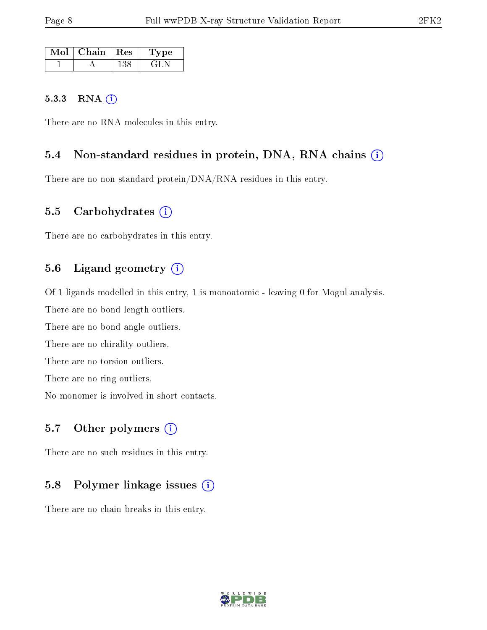| Mol | $\mid$ Chain | $\parallel$ Res | 'Type |
|-----|--------------|-----------------|-------|
|     |              | 138             | EL N  |

#### 5.3.3 RNA [O](https://www.wwpdb.org/validation/2017/XrayValidationReportHelp#rna)i

There are no RNA molecules in this entry.

#### 5.4 Non-standard residues in protein, DNA, RNA chains (i)

There are no non-standard protein/DNA/RNA residues in this entry.

#### 5.5 Carbohydrates  $(i)$

There are no carbohydrates in this entry.

### 5.6 Ligand geometry (i)

Of 1 ligands modelled in this entry, 1 is monoatomic - leaving 0 for Mogul analysis. There are no bond length outliers.

There are no bond angle outliers.

There are no chirality outliers.

There are no torsion outliers.

There are no ring outliers.

No monomer is involved in short contacts.

#### 5.7 [O](https://www.wwpdb.org/validation/2017/XrayValidationReportHelp#nonstandard_residues_and_ligands)ther polymers  $(i)$

There are no such residues in this entry.

#### 5.8 Polymer linkage issues  $(i)$

There are no chain breaks in this entry.